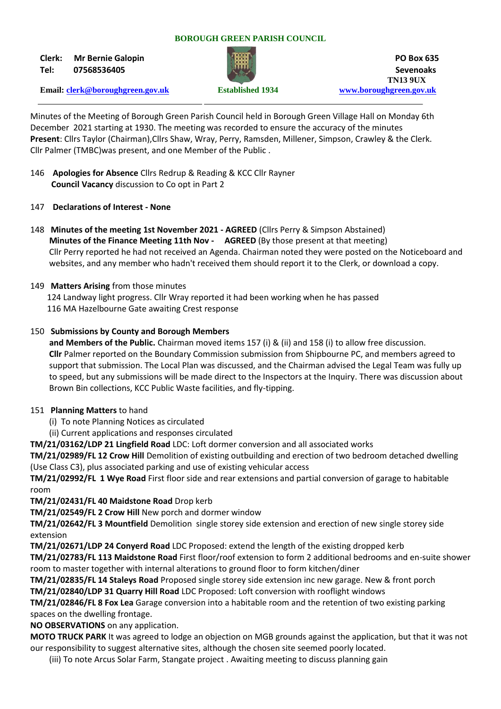#### **BOROUGH GREEN PARISH COUNCIL**

**Clerk: Mr Bernie Galopin PO Box 635**



**Tel: 07568536405 Sevenoaks TN13 9UX Email: [clerk@boroughgreen.gov.uk](mailto:clerk@boroughgreen.gov.uk) Established 1934 [www.boroughgreen.gov.uk](http://www.boroughgreen.gov.uk/)**

Minutes of the Meeting of Borough Green Parish Council held in Borough Green Village Hall on Monday 6th December 2021 starting at 1930. The meeting was recorded to ensure the accuracy of the minutes **Present**: Cllrs Taylor (Chairman),Cllrs Shaw, Wray, Perry, Ramsden, Millener, Simpson, Crawley & the Clerk. Cllr Palmer (TMBC)was present, and one Member of the Public .

- 146 **Apologies for Absence** Cllrs Redrup & Reading & KCC Cllr Rayner  **Council Vacancy** discussion to Co opt in Part 2
- 147 **Declarations of Interest - None**
- 148 **Minutes of the meeting 1st November 2021 - AGREED** (Cllrs Perry & Simpson Abstained)  **Minutes of the Finance Meeting 11th Nov - AGREED** (By those present at that meeting) Cllr Perry reported he had not received an Agenda. Chairman noted they were posted on the Noticeboard and websites, and any member who hadn't received them should report it to the Clerk, or download a copy.
- 149 **Matters Arising** from those minutes

 124 Landway light progress. Cllr Wray reported it had been working when he has passed 116 MA Hazelbourne Gate awaiting Crest response

# 150 **Submissions by County and Borough Members**

 **and Members of the Public.** Chairman moved items 157 (i) & (ii) and 158 (i) to allow free discussion.  **Cllr** Palmer reported on the Boundary Commission submission from Shipbourne PC, and members agreed to support that submission. The Local Plan was discussed, and the Chairman advised the Legal Team was fully up to speed, but any submissions will be made direct to the Inspectors at the Inquiry. There was discussion about Brown Bin collections, KCC Public Waste facilities, and fly-tipping.

#### 151 **Planning Matters** to hand

- (i) To note Planning Notices as circulated
- (ii) Current applications and responses circulated

**TM/21/03162/LDP 21 Lingfield Road** LDC: Loft dormer conversion and all associated works

**TM/21/02989/FL 12 Crow Hill** Demolition of existing outbuilding and erection of two bedroom detached dwelling (Use Class C3), plus associated parking and use of existing vehicular access

**TM/21/02992/FL 1 Wye Road** First floor side and rear extensions and partial conversion of garage to habitable room

**TM/21/02431/FL 40 Maidstone Road** Drop kerb

**TM/21/02549/FL 2 Crow Hill** New porch and dormer window

**TM/21/02642/FL 3 Mountfield** Demolition single storey side extension and erection of new single storey side extension

**TM/21/02671/LDP 24 Conyerd Road** LDC Proposed: extend the length of the existing dropped kerb

**TM/21/02783/FL 113 Maidstone Road** First floor/roof extension to form 2 additional bedrooms and en-suite shower room to master together with internal alterations to ground floor to form kitchen/diner

**TM/21/02835/FL 14 Staleys Road** Proposed single storey side extension inc new garage. New & front porch **TM/21/02840/LDP 31 Quarry Hill Road** LDC Proposed: Loft conversion with rooflight windows

**TM/21/02846/FL 8 Fox Lea** Garage conversion into a habitable room and the retention of two existing parking spaces on the dwelling frontage.

**NO OBSERVATIONS** on any application.

**MOTO TRUCK PARK** It was agreed to lodge an objection on MGB grounds against the application, but that it was not our responsibility to suggest alternative sites, although the chosen site seemed poorly located.

(iii) To note Arcus Solar Farm, Stangate project . Awaiting meeting to discuss planning gain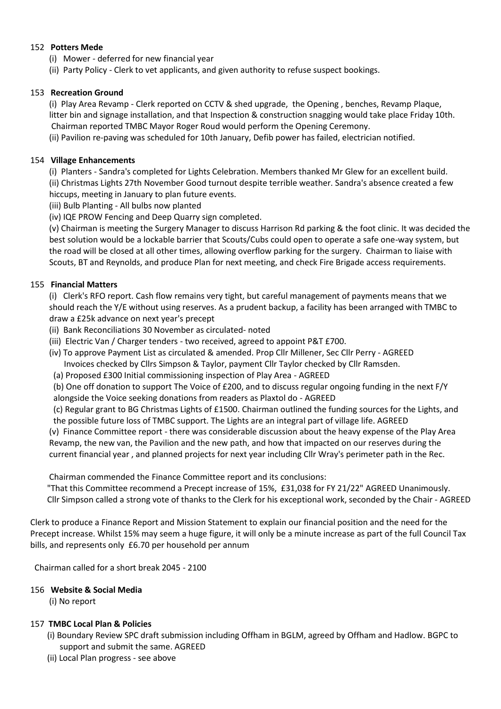### 152 **Potters Mede**

- (i) Mower deferred for new financial year
- (ii) Party Policy Clerk to vet applicants, and given authority to refuse suspect bookings.

# 153 **Recreation Ground**

 (i) Play Area Revamp - Clerk reported on CCTV & shed upgrade, the Opening , benches, Revamp Plaque, litter bin and signage installation, and that Inspection & construction snagging would take place Friday 10th. Chairman reported TMBC Mayor Roger Roud would perform the Opening Ceremony.

(ii) Pavilion re-paving was scheduled for 10th January, Defib power has failed, electrician notified.

# 154 **Village Enhancements**

 (i) Planters - Sandra's completed for Lights Celebration. Members thanked Mr Glew for an excellent build. (ii) Christmas Lights 27th November Good turnout despite terrible weather. Sandra's absence created a few hiccups, meeting in January to plan future events.

(iii) Bulb Planting - All bulbs now planted

(iv) IQE PROW Fencing and Deep Quarry sign completed.

 (v) Chairman is meeting the Surgery Manager to discuss Harrison Rd parking & the foot clinic. It was decided the best solution would be a lockable barrier that Scouts/Cubs could open to operate a safe one-way system, but the road will be closed at all other times, allowing overflow parking for the surgery. Chairman to liaise with Scouts, BT and Reynolds, and produce Plan for next meeting, and check Fire Brigade access requirements.

# 155 **Financial Matters**

 (i) Clerk's RFO report. Cash flow remains very tight, but careful management of payments means that we should reach the Y/E without using reserves. As a prudent backup, a facility has been arranged with TMBC to draw a £25k advance on next year's precept

- (ii) Bank Reconciliations 30 November as circulated- noted
- (iii) Electric Van / Charger tenders two received, agreed to appoint P&T £700.
- (iv) To approve Payment List as circulated & amended. Prop Cllr Millener, Sec Cllr Perry AGREED Invoices checked by Cllrs Simpson & Taylor, payment Cllr Taylor checked by Cllr Ramsden.

(a) Proposed £300 Initial commissioning inspection of Play Area - AGREED

 (b) One off donation to support The Voice of £200, and to discuss regular ongoing funding in the next F/Y alongside the Voice seeking donations from readers as Plaxtol do - AGREED

 (c) Regular grant to BG Christmas Lights of £1500. Chairman outlined the funding sources for the Lights, and the possible future loss of TMBC support. The Lights are an integral part of village life. AGREED

 (v) Finance Committee report - there was considerable discussion about the heavy expense of the Play Area Revamp, the new van, the Pavilion and the new path, and how that impacted on our reserves during the current financial year , and planned projects for next year including Cllr Wray's perimeter path in the Rec.

Chairman commended the Finance Committee report and its conclusions:

 "That this Committee recommend a Precept increase of 15%, £31,038 for FY 21/22" AGREED Unanimously. Cllr Simpson called a strong vote of thanks to the Clerk for his exceptional work, seconded by the Chair - AGREED

Clerk to produce a Finance Report and Mission Statement to explain our financial position and the need for the Precept increase. Whilst 15% may seem a huge figure, it will only be a minute increase as part of the full Council Tax bills, and represents only £6.70 per household per annum

Chairman called for a short break 2045 - 2100

# 156 **Website & Social Media**

(i) No report

# 157 **TMBC Local Plan & Policies**

- (i) Boundary Review SPC draft submission including Offham in BGLM, agreed by Offham and Hadlow. BGPC to support and submit the same. AGREED
- (ii) Local Plan progress see above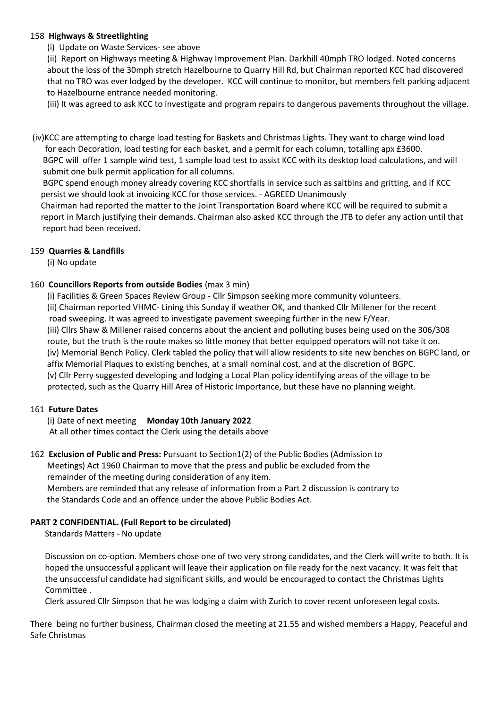### 158 **Highways & Streetlighting**

### (i) Update on Waste Services- see above

 (ii) Report on Highways meeting & Highway Improvement Plan. Darkhill 40mph TRO lodged. Noted concerns about the loss of the 30mph stretch Hazelbourne to Quarry Hill Rd, but Chairman reported KCC had discovered that no TRO was ever lodged by the developer. KCC will continue to monitor, but members felt parking adjacent to Hazelbourne entrance needed monitoring.

(iii) It was agreed to ask KCC to investigate and program repairs to dangerous pavements throughout the village.

(iv)KCC are attempting to charge load testing for Baskets and Christmas Lights. They want to charge wind load for each Decoration, load testing for each basket, and a permit for each column, totalling apx £3600. BGPC will offer 1 sample wind test, 1 sample load test to assist KCC with its desktop load calculations, and will submit one bulk permit application for all columns.

 BGPC spend enough money already covering KCC shortfalls in service such as saltbins and gritting, and if KCC persist we should look at invoicing KCC for those services. - AGREED Unanimously

 Chairman had reported the matter to the Joint Transportation Board where KCC will be required to submit a report in March justifying their demands. Chairman also asked KCC through the JTB to defer any action until that report had been received.

# 159 **Quarries & Landfills**

(i) No update

# 160 **Councillors Reports from outside Bodies** (max 3 min)

 (i) Facilities & Green Spaces Review Group - Cllr Simpson seeking more community volunteers. (ii) Chairman reported VHMC- Lining this Sunday if weather OK, and thanked Cllr Millener for the recent road sweeping. It was agreed to investigate pavement sweeping further in the new F/Year. (iii) Cllrs Shaw & Millener raised concerns about the ancient and polluting buses being used on the 306/308 route, but the truth is the route makes so little money that better equipped operators will not take it on. (iv) Memorial Bench Policy. Clerk tabled the policy that will allow residents to site new benches on BGPC land, or affix Memorial Plaques to existing benches, at a small nominal cost, and at the discretion of BGPC. (v) Cllr Perry suggested developing and lodging a Local Plan policy identifying areas of the village to be protected, such as the Quarry Hill Area of Historic Importance, but these have no planning weight.

#### 161 **Future Dates**

 (i) Date of next meeting **Monday 10th January 2022**  At all other times contact the Clerk using the details above

# 162 **Exclusion of Public and Press:** Pursuant to Section1(2) of the Public Bodies (Admission to

 Meetings) Act 1960 Chairman to move that the press and public be excluded from the remainder of the meeting during consideration of any item. Members are reminded that any release of information from a Part 2 discussion is contrary to

the Standards Code and an offence under the above Public Bodies Act.

# **PART 2 CONFIDENTIAL. (Full Report to be circulated)**

Standards Matters - No update

 Discussion on co-option. Members chose one of two very strong candidates, and the Clerk will write to both. It is hoped the unsuccessful applicant will leave their application on file ready for the next vacancy. It was felt that the unsuccessful candidate had significant skills, and would be encouraged to contact the Christmas Lights Committee .

Clerk assured Cllr Simpson that he was lodging a claim with Zurich to cover recent unforeseen legal costs.

There being no further business, Chairman closed the meeting at 21.55 and wished members a Happy, Peaceful and Safe Christmas